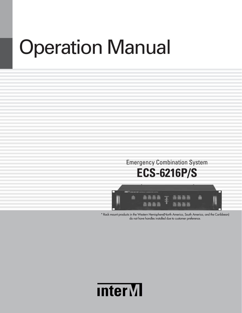# Operation Manual

# Emergency Combination System **ECS-6216P/S**



\* Rack mount products in the Western Hemisphere(North America, South America, and the Caribbean) do not have handles installed due to customer preference.

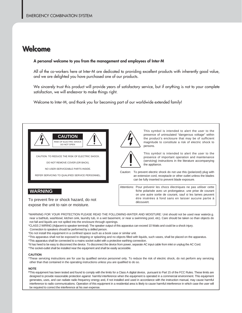### **Welc Welcome ome**

#### **A personal welcome to you from the management and employees of Inter-M**

All of the co-workers here at Inter-M are dedicated to providing excellent products with inherently good value, and we are delighted you have purchased one of our products.

We sincerely trust this product will provide years of satisfactory service, but if anything is not to your complete satisfaction, we will endeavor to make things right.

Welcome to Inter-M, and thank you for becoming part of our worldwide extended family!



CAUTION: TO REDUCE THE RISK OF ELECTRIC SHOCK.

DO NOT REMOVE COVER (OR BACK).

NO USER-SERVICEABLE PARTS INSIDE.

REFER SERVICING TO QUALIFIED SERVICE PERSONNEL.



This symbol is intended to alert the user to the presence of uninsulated "dangerous voltage" within the product's enclosure that may be of sufficient magnitude to constitute a risk of electric shock to persons.



This symbol is intended to alert the user to the presence of important operation and maintenance (servicing) instructions in the literature accompanying the appliance.

Caution: To prevent electric shock do not use this (polarized) plug with an extension cord, receptacle or other outlet unless the blades can be fully inserted to prevent blade exposure.

Attentions: Pour prévenir les chocs électriques ne pas utiliser cette fiche polarisée avec un prolongateur, une prise de courant on une autre sortie de courant, sauf si les lames peuvent étre insérées à fond sans en laisser aucune partie à découvert.

To prevent fire or shock hazard, do not

**WARNING**

expose the unit to rain or moisture.

- \*WARNING FOR YOUR PROTECTION PLEASE READ THE FOLLOWING-WATER AND MOISTURE: Unit should not be used near water(e.g. near a bathtub, washbowl, kitchen sink, laundry tub, in a wet basement, or near a swimming pool, etc). Care should be taken so than objects do not fall and liquids are not spilled into the enclosure through openings.
- \*CLASS 2 WIRING (Adjacent to speaker terminal): The speaker output of this apparatus can exceed 10 Watts and could be a shock injury.

Connection to speakers should be performed by a skilled person.

- \*Do not install this equipment in a confined space such as a book case or similar unit.
- \*This apparatus shall not be exposed to dripping or splashing and no objects filled with liquids, such vases, shall be placed on the apparatus. \*This apparatus shall be connected to a mains socket outlet with a protective earthing connection.
- \*It has heed to be easy to disconnect the device. To disconnect the device from power, separate AC input cable from inlet or unplug the AC Cord.
- \*The socket-outlet shall be installed near the equipment and shall be easily accessible.

#### **CAUTION**

\*These servicing instructions are for use by qualified service personnel only. To reduce the risk of electric shock, do not perform any servicing other than that contained in the operating instructions unless you are qualified to do so.

#### **NOTE**

**\***This equipment has been tested and found to comply with the limits for a Class A digital device, pursuant to Part 15 of the FCC Rules. These limits are designed to provide reasonable protection against harmful interference when the equipment is operated in a commercial environment. This equipment generates, uses, and can radiate radio frequency energy and, if not installed and used in accordance with the instruction manual, may cause harmful interference to radio communications. Operation of this equipment in a residential area is likely to cause harmful interference in which case the user will be required to correct the interference at his own expense.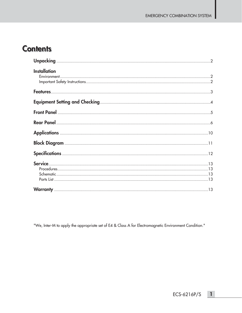### **Contents**

| <b>Installation</b> |
|---------------------|
|                     |
|                     |
|                     |
|                     |
|                     |
|                     |
|                     |
|                     |
|                     |

"We, Inter-M to apply the appropriate set of E4 & Class A for Electromagnetic Environment Condition."

ECS-6216P/S

 $\overline{1}$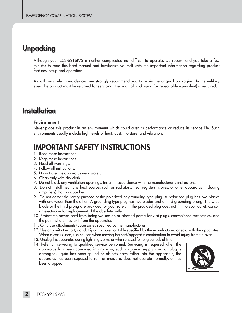### **Unpacking Unpacking**

Although your ECS-6216P/S is neither complicated nor difficult to operate, we recommend you take a few minutes to read this brief manual and familiarize yourself with the important information regarding product features, setup and operation.

As with most electronic devices, we strongly recommend you to retain the original packaging. In the unlikely event the product must be returned for servicing, the original packaging (or reasonable equivalent) is required.

## **Installation Installation**

#### **Environment**

Never place this product in an environment which could alter its performance or reduce its service life. Such environments usually include high levels of heat, dust, moisture, and vibration.

### **IMPORTANT SAFETY INSTRUCTIONS**

- 1. Read these instructions.
- 2. Keep these instructions.
- 3. Heed all warnings.
- 4. Follow all instructions.
- 5. Do not use this apparatus near water.
- 6. Clean only with dry cloth.
- 7. Do not block any ventilation openings. Install in accordance with the manufacturer's instructions.
- 8. Do not install near any heat sources such as radiators, heat registers, stoves, or other apparatus (including amplifiers) that produce heat.
- 9. Do not defeat the safety purpose of the polarized or grounding-type plug. A polarized plug has two blades with one wider than the other. A grounding type plug has two blades and a third grounding prong. The wide blade or the third prong are provided for your safety. If the provided plug does not fit into your outlet, consult an electrician for replacement of the obsolete outlet.
- 10. Protect the power cord from being walked on or pinched particularly at plugs, convenience receptacles, and the point where they exit from the apparatus.
- 11. Only use attachments/accessories specified by the manufacturer.
- 12. Use only with the cart, stand, tripod, bracket, or table specified by the manufacturer, or sold with the apparatus. When a cart is used, use caution when moving the cart/apparatus combination to avoid injury from tip-over.
- 13. Unplug this apparatus during lightning storms or when unused for long periods of time.
- 14. Refer all servicing to qualified service personnel. Servicing is required when the apparatus has been damaged in any way, such as power-supply cord or plug is damaged, liquid has been spilled or objects have fallen into the apparatus, the apparatus has been exposed to rain or moisture, does not operate normally, or has been dropped.

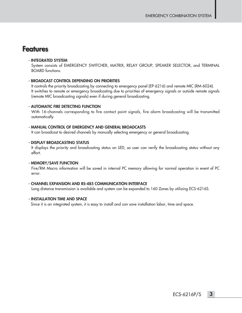### **Features Features**

#### **- INTEGRATED SYSTEM**

System consists of EMERGENCY SWITCHER, MATRIX, RELAY GROUP, SPEAKER SELECTOR, and TERMINAL BOARD functions.

#### **- BROADCAST CONTROL DEPENDING ON PRIORITIES**

It controls the priority broadcasting by connecting to emergency panel (EP-6216) and remote MIC (RM-6024). It switches to remote or emergency broadcasting due to priorities of emergency signals or outside remote signals (remote MIC broadcasting signals) even if during general broadcasting.

#### **- AUTOMATIC FIRE DETECTING FUNCTION**

With 16-channels corresponding to fire contact point signals, fire alarm broadcasting will be transmitted automatically.

#### **- MANUAL CONTROL OF EMERGENCY AND GENERAL BROADCASTS**

It can broadcast to desired channels by manually selecting emergency or general broadcasting.

#### **- DISPLAY BROADCASTING STATUS**

It displays the priority and broadcasting status on LED, so user can verify the broadcasting status without any effort.

#### **- MEMORY/SAVE FUNCTION**

Fire/RM Macro information will be saved in internal PC memory allowing for normal operation in event of PC error.

#### **- CHANNEL EXPANSION AND RS-485 COMMUNICATION INTERFACE**

Long distance transmission is available and system can be expanded to 160 Zones by utilizing ECS-6216S.

#### **- INSTALLATION TIME AND SPACE**

Since it is an integrated system, it is easy to install and can save installation labor, time and space.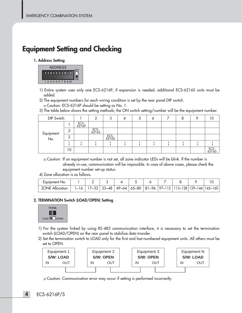### **Equipment Setting and Checking Equipment Setting and Checking**

#### **1. Address Setting**



- 1) Entire system uses only one ECS-6216P; if expansion is needed, additional ECS-6216S units must be added.
- 2) The equipment numbers for each wiring condition is set by the rear panel DIP switch.

3) The table below shows the setting methods; the ON switch setting/number will be the equipment number.

| DIP Switch       |    |               |               | ◠<br>U        | Э |  | 8 |               |
|------------------|----|---------------|---------------|---------------|---|--|---|---------------|
| Equipment<br>No. |    | ECS-<br>6216P |               |               |   |  |   |               |
|                  | ⌒  |               | ECS-<br>6216S |               |   |  |   |               |
|                  | 3  |               |               | ECS-<br>6216S |   |  |   |               |
|                  |    |               |               |               |   |  |   |               |
|                  | 10 |               |               |               |   |  |   | ECS-<br>6216S |

Caution: If an equipment number is not set, all zone indicator LEDs will be blink. If the number is already in-use, communication will be impossible. In case of above cases, please check the equipment number set-up status.

4) Zone allocation is as follows.

| Equipment No.          |  |  |  |  |                                                                                                                                                                               |
|------------------------|--|--|--|--|-------------------------------------------------------------------------------------------------------------------------------------------------------------------------------|
| <b>ZONE Allocation</b> |  |  |  |  | $1 \times 16$   $17 \times 32$   $33 \times 48$   $49 \times 64$   $65 \times 80$   $81 \times 96$   $97 \times 112$   $113 \times 128$   $129 \times 144$   $145 \times 160$ |

#### **2. TERMINATION Switch (LOAD/OPEN) Setting**



.

- 1) For the system linked by using RS-485 communication interface, it is necessary to set the termination switch (LOAD/OPEN) on the rear panel to stabilize data transfer.
- 2) Set the termination switch to LOAD only for the first and last-numbered equipment units. All others must be set to OPEN.



Caution: Communication error may occur if setting is performed incorrectly.

Caution: ECS-6216P should be setting as No. 1.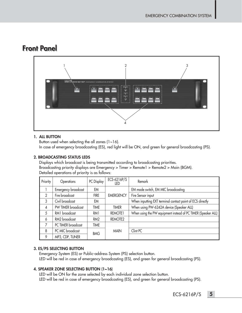### **Front Panel**



### **1. ALL BUTTON**

Button used when selecting the all zones  $(1~16)$ . In case of emergency broadcasting (ES), red light will be ON, and green for general broadcasting (PS).

### **2. BROADCASTING STATUS LEDS**

Displays which broadcast is being transmitted according to broadcasting priorities. Broadcasting priority displays are Emergency > Timer > Remote1 > Remote2 > Main (BGM). Detailed operations of priority is as follows:

| Priority      | Operations                 | PC Display      | ECS-6216P/S<br>LED  | Remark                                                        |
|---------------|----------------------------|-----------------|---------------------|---------------------------------------------------------------|
|               | <b>Emergency broadcast</b> | EM              |                     | EM mode switch, EM MIC broadcasting                           |
| $\mathcal{P}$ | Fire broadcast             | <b>FIRE</b>     | <b>EMERGENCY</b>    | Fire Sensor input                                             |
| 3             | Civil broadcast            | EM              |                     | When inputting EXT terminal contact point of ECS directly     |
| 4             | PW TIMER broadcast         | <b>TIME</b>     | <b>TIMER</b>        | When using PW-6242A device (Speaker ALL)                      |
| 5             | RM1 broadcast              | RM1             | REMOTE <sub>1</sub> | When using the PW equipment instead of PC TIMER (Speaker ALL) |
| 6             | RM2 broadcast              | RM <sub>2</sub> | REMOTE <sub>2</sub> |                                                               |
| 7             | PC TIMER broadcast         | <b>TIME</b>     |                     |                                                               |
| 8             | PC MIC broadcast           | <b>BMG</b>      | <b>MAIN</b>         | Clint PC                                                      |
| 9             | MP3, CDP, TUNER            |                 |                     |                                                               |

### **3. ES/PS SELECTING BUTTON**

Emergency System (ES) or Public-address System (PS) selection button. LED will be red in case of emergency broadcasting (ES), and green for general broadcasting (PS).

### **4. SPEAKER ZONE SELECTING BUTTON (1~16)**

LED will be ON for the zone selected by each individual zone selection button. LED will be red in case of emergency broadcasting (ES), and green for general broadcasting (PS).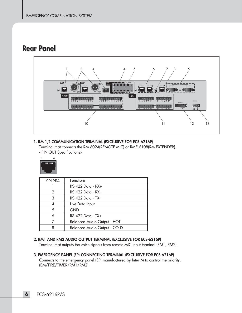### **Rear Panel**



### **1. RM 1,2 COMMUNICATION TERMINAL (EXCLUSIVE FOR ECS-6216P)**

Terminal that connects the RM-6024(REMOTE MIC) or RME-6108(RM EXTENDER). <PIN OUT Specifications>



| PIN NO. | <b>Functions</b>                    |
|---------|-------------------------------------|
|         | $RS-422$ Data - $RX+$               |
| 2       | RS-422 Data - RX-                   |
| 3       | RS-422 Data - TX-                   |
|         | Live Data Input                     |
| 5       | <b>GND</b>                          |
|         | RS-422 Data - TX+                   |
|         | <b>Balanced Audio Output - HOT</b>  |
|         | <b>Balanced Audio Output - COLD</b> |

#### **2. RM1 AND RM2 AUDIO OUTPUT TERMINAL (EXCLUSIVE FOR ECS-6216P)**

Terminal that outputs the voice signals from remote MIC input terminal (RM1, RM2).

**3. EMERGENCY PANEL (EP) CONNECTING TERMINAL (EXCLUSIVE FOR ECS-6216P)** Connects to the emergency panel (EP) manufactured by Inter-M to control the priority. (EM/FIRE/TIMER/RM1/RM2).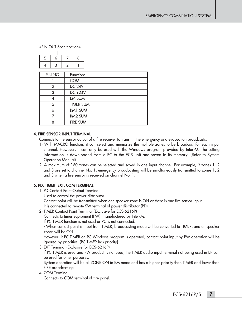<PIN OUT Specification>

| ш |  |
|---|--|
|   |  |

| PIN NO. | <b>Functions</b> |
|---------|------------------|
|         | <b>COM</b>       |
| 2       | <b>DC 24V</b>    |
| 3       | DC +24V          |
|         | <b>EM SUM</b>    |
| 5       | <b>TIMER SUM</b> |
|         | RM1 SUM          |
|         | RM2 SUM          |
| Ջ       | <b>FIRE SUM</b>  |

#### **4. FIRE SENSOR INPUT TERMINAL**

Connects to the sensor output of a fire receiver to transmit the emergency and evacuation broadcasts.

- 1) With MACRO function, it can select and memorize the multiple zones to be broadcast for each input channel. However, it can only be used with the Windows program provided by Inter-M. The setting information is downloaded from a PC to the ECS unit and saved in its memory. (Refer to System Operation Manual)
- 2) A maximum of 160 zones can be selected and saved in one input channel. For example, if zones 1, 2 and 3 are set to channel No. 1, emergency broadcasting will be simultaneously transmitted to zones 1, 2 and 3 when a fire sensor is received on channel No. 1.

#### **5. PD, TIMER, EXT, COM TERMINAL**

- 1) PD Contact Point Output Terminal
	- Used to control the power distributor.
	- Contact point will be transmitted when one speaker zone is ON or there is one fire sensor input.

It is connected to remote SW terminal of power distributor (PD).

2) TIMER Contact Point Terminal (Exclusive for ECS-6216P)

Connects to timer equipment (PW), manufactured by Inter-M.

If PC TIMER function is not used or PC is not connected:

- When contact point is input from TIMER, broadcasting mode will be converted to TIMER, and all speaker zones will be ON.

However, if PC TIMER on PC Windows program is operated, contact point input by PW operation will be ignored by priorities. (PC TIMER has priority)

3) EXT Terminal (Exclusive for ECS-6216P)

If PC TIMER is used and PW product is not used, the TIMER audio input terminal not being used in EP can be used for other purposes.

System operation will be all ZONE ON in EM mode and has a higher priority than TIMER and lower than FIRE broadcasting.

4) COM Terminal Connects to COM terminal of fire panel.

ECS-6216P/S **7**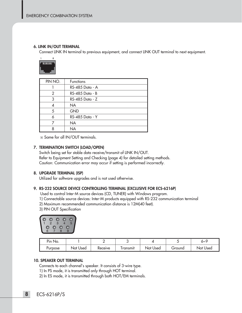#### **6. LINK IN/OUT TERMINAL**

Connect LINK IN terminal to previous equipment, and connect LINK OUT terminal to next equipment.



| PIN NO. | <b>Functions</b> |
|---------|------------------|
|         | RS-485 Data - A  |
| 2       | RS-485 Data - B  |
| 3       | RS-485 Data - Z  |
|         | <b>NA</b>        |
| 5       | <b>GND</b>       |
|         | RS-485 Data - Y  |
|         | <b>NA</b>        |
|         | <b>NA</b>        |

Same for all IN/OUT terminals.

#### **7. TERMINATION SWITCH (LOAD/OPEN)**

Switch being set for stable data receive/transmit of LINK IN/OUT. Refer to Equipment Setting and Checking (page 4) for detailed setting methods. Caution: Communication error may occur if setting is performed incorrectly.

#### **8. UPGRADE TERMINAL (ISP)**

Utilized for software upgrades and is not used otherwise.

#### **9. RS-232 SOURCE DEVICE CONTROLLING TERMINAL (EXCLUSIVE FOR ECS-6216P)**

Used to control Inter-M source devices (CD, TUNER) with Windows program.

- 1) Connectable source devices: Inter-M products equipped with RS-232 communication terminal
- 2) Maximum recommended communication distance is 12M(40 feet).
- 3) PIN OUT Specification



| P <sub>ID</sub> No. |             |         |                  |          |         | ໐∼`      |
|---------------------|-------------|---------|------------------|----------|---------|----------|
| urpose <sup>'</sup> | Not<br>Used | Receive | <u>I</u> ransmit | Not Used | croundس | Not Used |

#### **10. SPEAKER OUT TERMINAL**

Connects to each channel's speaker. It consists of 3-wire type.

- 1) In PS mode, it is transmitted only through HOT terminal.
- 2) In ES mode, it is transmitted through both HOT/EM terminals.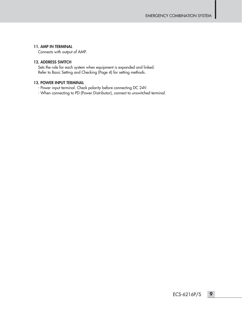#### **11. AMP IN TERMINAL**

Connects with output of AMP.

#### **12. ADDRESS SWITCH**

Sets the role for each system when equipment is expanded and linked. Refer to Basic Setting and Checking (Page 4) for setting methods.

#### **13. POWER INPUT TERMINAL**

- Power input terminal. Check polarity before connecting DC 24V.
- When connecting to PD (Power Distributor), connect to unswitched terminal.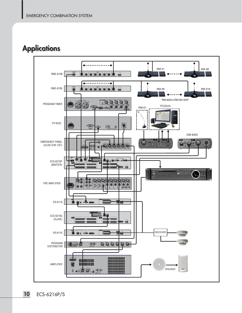## **Applications Applications**

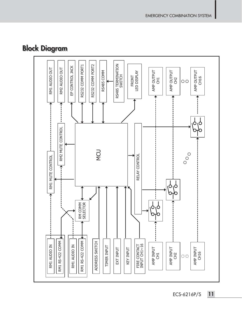# **Block Diagram Block Diagram**



ECS-6216P/S **11**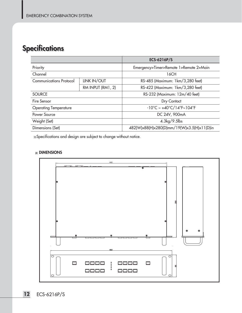# **Specifications Specifications**

|                                |                    | ECS-6216P/S                                                        |  |  |
|--------------------------------|--------------------|--------------------------------------------------------------------|--|--|
| Priority                       |                    | Emergency>Timer>Remote 1>Remote 2>Main                             |  |  |
| Channel                        |                    | 16CH                                                               |  |  |
| <b>Communications Protocol</b> | <b>LINK IN/OUT</b> | RS-485 (Maximum: 1km/3,280 feet)                                   |  |  |
|                                | RM INPUT (RM1, 2)  | RS-422 (Maximum: 1km/3,280 feet)                                   |  |  |
| <b>SOURCE</b>                  |                    | RS-232 (Maximum: 12m/40 feet)                                      |  |  |
| Fire Sensor                    |                    | Dry Contact                                                        |  |  |
| <b>Operating Temperature</b>   |                    | $-10^{\circ}$ C ~ $+40^{\circ}$ C/14 $^{\circ}$ F~104 $^{\circ}$ F |  |  |
| Power Source                   |                    | DC 24V, 900mA                                                      |  |  |
| Weight (Set)                   |                    | $4.3\mathrm{kg}/9.5\mathrm{lb}$ s                                  |  |  |
| Dimensions (Set)               |                    | 482(W)x88(H)x280(D)mm/19(W)x3.5(H)x11(D)in                         |  |  |

Specifications and design are subject to change without notice.

#### **DIMENSIONS**

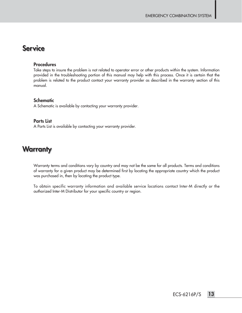### **Service Service**

#### **Procedures**

Take steps to insure the problem is not related to operator error or other products within the system. Information provided in the troubleshooting portion of this manual may help with this process. Once it is certain that the problem is related to the product contact your warranty provider as described in the warranty section of this manual.

#### **Schematic**

A Schematic is available by contacting your warranty provider.

#### **Parts List**

A Parts List is available by contacting your warranty provider.

### **Warranty**

Warranty terms and conditions vary by country and may not be the same for all products. Terms and conditions of warranty for a given product may be determined first by locating the appropriate country which the product was purchased in, then by locating the product type.

To obtain specific warranty information and available service locations contact Inter-M directly or the authorized Inter-M Distributor for your specific country or region.